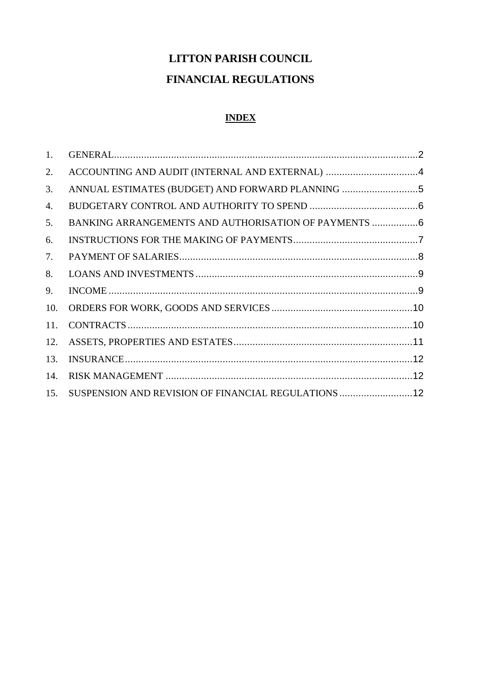# **LITTON PARISH COUNCIL FINANCIAL REGULATIONS**

# **INDEX**

| 1.  |                                                       |  |
|-----|-------------------------------------------------------|--|
| 2.  |                                                       |  |
| 3.  | ANNUAL ESTIMATES (BUDGET) AND FORWARD PLANNING 5      |  |
| 4.  |                                                       |  |
| 5.  | BANKING ARRANGEMENTS AND AUTHORISATION OF PAYMENTS  6 |  |
| 6.  |                                                       |  |
| 7.  |                                                       |  |
| 8.  |                                                       |  |
| 9.  |                                                       |  |
| 10. |                                                       |  |
| 11. |                                                       |  |
| 12. |                                                       |  |
| 13. |                                                       |  |
| 14. |                                                       |  |
| 15. | SUSPENSION AND REVISION OF FINANCIAL REGULATIONS  12  |  |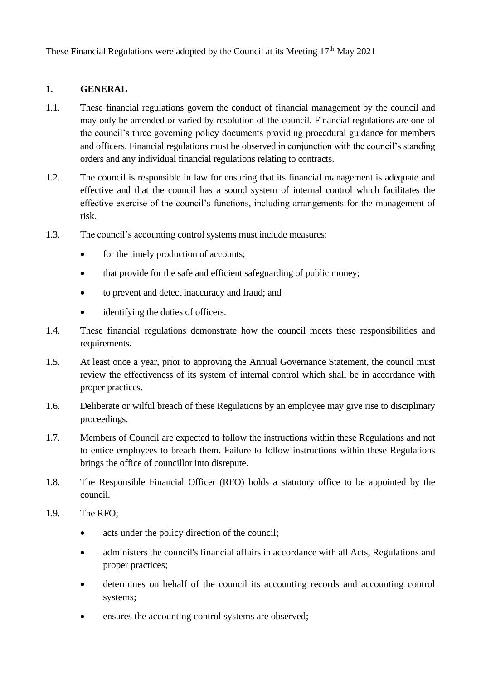These Financial Regulations were adopted by the Council at its Meeting 17<sup>th</sup> May 2021

#### <span id="page-1-0"></span>**1. GENERAL**

- 1.1. These financial regulations govern the conduct of financial management by the council and may only be amended or varied by resolution of the council. Financial regulations are one of the council's three governing policy documents providing procedural guidance for members and officers. Financial regulations must be observed in conjunction with the council's standing orders and any individual financial regulations relating to contracts.
- 1.2. The council is responsible in law for ensuring that its financial management is adequate and effective and that the council has a sound system of internal control which facilitates the effective exercise of the council's functions, including arrangements for the management of risk.
- 1.3. The council's accounting control systems must include measures:
	- for the timely production of accounts;
	- that provide for the safe and efficient safeguarding of public money;
	- to prevent and detect inaccuracy and fraud; and
	- identifying the duties of officers.
- 1.4. These financial regulations demonstrate how the council meets these responsibilities and requirements.
- 1.5. At least once a year, prior to approving the Annual Governance Statement, the council must review the effectiveness of its system of internal control which shall be in accordance with proper practices.
- 1.6. Deliberate or wilful breach of these Regulations by an employee may give rise to disciplinary proceedings.
- 1.7. Members of Council are expected to follow the instructions within these Regulations and not to entice employees to breach them. Failure to follow instructions within these Regulations brings the office of councillor into disrepute.
- 1.8. The Responsible Financial Officer (RFO) holds a statutory office to be appointed by the council.
- 1.9. The RFO;
	- acts under the policy direction of the council;
	- administers the council's financial affairs in accordance with all Acts, Regulations and proper practices;
	- determines on behalf of the council its accounting records and accounting control systems;
	- ensures the accounting control systems are observed: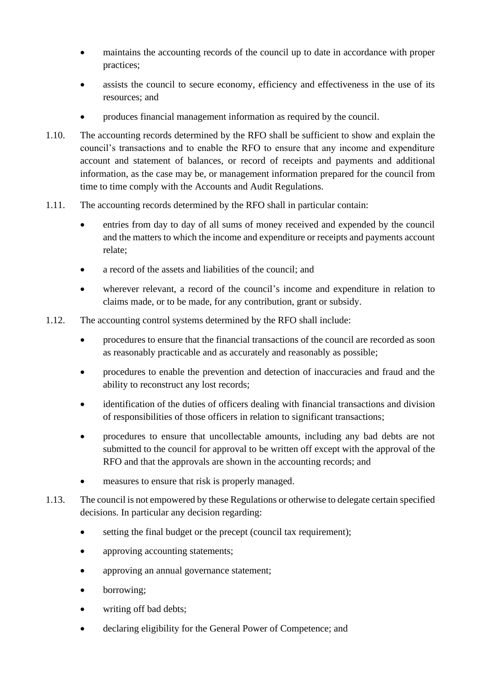- maintains the accounting records of the council up to date in accordance with proper practices;
- assists the council to secure economy, efficiency and effectiveness in the use of its resources; and
- produces financial management information as required by the council.
- 1.10. The accounting records determined by the RFO shall be sufficient to show and explain the council's transactions and to enable the RFO to ensure that any income and expenditure account and statement of balances, or record of receipts and payments and additional information, as the case may be, or management information prepared for the council from time to time comply with the Accounts and Audit Regulations.
- 1.11. The accounting records determined by the RFO shall in particular contain:
	- entries from day to day of all sums of money received and expended by the council and the matters to which the income and expenditure or receipts and payments account relate;
	- a record of the assets and liabilities of the council; and
	- wherever relevant, a record of the council's income and expenditure in relation to claims made, or to be made, for any contribution, grant or subsidy.
- 1.12. The accounting control systems determined by the RFO shall include:
	- procedures to ensure that the financial transactions of the council are recorded as soon as reasonably practicable and as accurately and reasonably as possible;
	- procedures to enable the prevention and detection of inaccuracies and fraud and the ability to reconstruct any lost records;
	- identification of the duties of officers dealing with financial transactions and division of responsibilities of those officers in relation to significant transactions;
	- procedures to ensure that uncollectable amounts, including any bad debts are not submitted to the council for approval to be written off except with the approval of the RFO and that the approvals are shown in the accounting records; and
	- measures to ensure that risk is properly managed.
- 1.13. The council is not empowered by these Regulations or otherwise to delegate certain specified decisions. In particular any decision regarding:
	- setting the final budget or the precept (council tax requirement);
	- approving accounting statements;
	- approving an annual governance statement;
	- borrowing;
	- writing off bad debts:
	- declaring eligibility for the General Power of Competence; and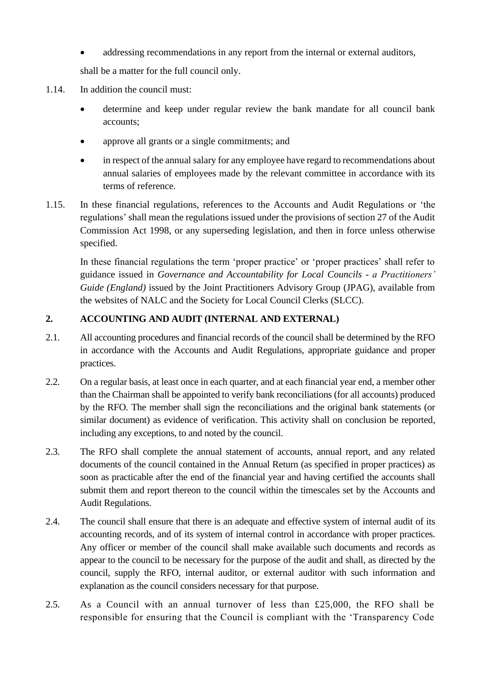• addressing recommendations in any report from the internal or external auditors,

shall be a matter for the full council only.

- 1.14. In addition the council must:
	- determine and keep under regular review the bank mandate for all council bank accounts;
	- approve all grants or a single commitments; and
	- in respect of the annual salary for any employee have regard to recommendations about annual salaries of employees made by the relevant committee in accordance with its terms of reference.
- 1.15. In these financial regulations, references to the Accounts and Audit Regulations or 'the regulations' shall mean the regulations issued under the provisions of section 27 of the Audit Commission Act 1998, or any superseding legislation, and then in force unless otherwise specified.

In these financial regulations the term 'proper practice' or 'proper practices' shall refer to guidance issued in *Governance and Accountability for Local Councils - a Practitioners' Guide (England)* issued by the Joint Practitioners Advisory Group (JPAG), available from the websites of NALC and the Society for Local Council Clerks (SLCC).

### <span id="page-3-0"></span>**2. ACCOUNTING AND AUDIT (INTERNAL AND EXTERNAL)**

- 2.1. All accounting procedures and financial records of the council shall be determined by the RFO in accordance with the Accounts and Audit Regulations, appropriate guidance and proper practices.
- 2.2. On a regular basis, at least once in each quarter, and at each financial year end, a member other than the Chairman shall be appointed to verify bank reconciliations (for all accounts) produced by the RFO. The member shall sign the reconciliations and the original bank statements (or similar document) as evidence of verification. This activity shall on conclusion be reported, including any exceptions, to and noted by the council.
- 2.3. The RFO shall complete the annual statement of accounts, annual report, and any related documents of the council contained in the Annual Return (as specified in proper practices) as soon as practicable after the end of the financial year and having certified the accounts shall submit them and report thereon to the council within the timescales set by the Accounts and Audit Regulations.
- 2.4. The council shall ensure that there is an adequate and effective system of internal audit of its accounting records, and of its system of internal control in accordance with proper practices. Any officer or member of the council shall make available such documents and records as appear to the council to be necessary for the purpose of the audit and shall, as directed by the council, supply the RFO, internal auditor, or external auditor with such information and explanation as the council considers necessary for that purpose.
- 2.5. As a Council with an annual turnover of less than £25,000, the RFO shall be responsible for ensuring that the Council is compliant with the 'Transparency Code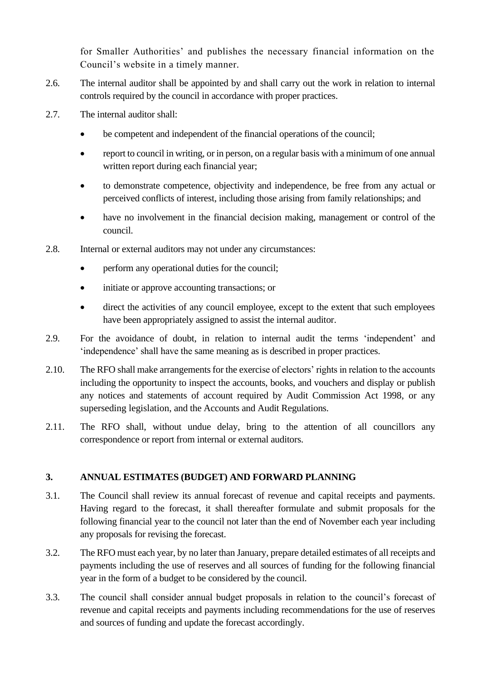for Smaller Authorities' and publishes the necessary financial information on the Council's website in a timely manner.

- 2.6. The internal auditor shall be appointed by and shall carry out the work in relation to internal controls required by the council in accordance with proper practices.
- 2.7. The internal auditor shall:
	- be competent and independent of the financial operations of the council;
	- report to council in writing, or in person, on a regular basis with a minimum of one annual written report during each financial year:
	- to demonstrate competence, objectivity and independence, be free from any actual or perceived conflicts of interest, including those arising from family relationships; and
	- have no involvement in the financial decision making, management or control of the council.
- 2.8. Internal or external auditors may not under any circumstances:
	- perform any operational duties for the council;
	- initiate or approve accounting transactions; or
	- direct the activities of any council employee, except to the extent that such employees have been appropriately assigned to assist the internal auditor.
- 2.9. For the avoidance of doubt, in relation to internal audit the terms 'independent' and 'independence' shall have the same meaning as is described in proper practices.
- 2.10. The RFO shall make arrangements for the exercise of electors' rights in relation to the accounts including the opportunity to inspect the accounts, books, and vouchers and display or publish any notices and statements of account required by Audit Commission Act 1998, or any superseding legislation, and the Accounts and Audit Regulations.
- 2.11. The RFO shall, without undue delay, bring to the attention of all councillors any correspondence or report from internal or external auditors.

### <span id="page-4-0"></span>**3. ANNUAL ESTIMATES (BUDGET) AND FORWARD PLANNING**

- 3.1. The Council shall review its annual forecast of revenue and capital receipts and payments. Having regard to the forecast, it shall thereafter formulate and submit proposals for the following financial year to the council not later than the end of November each year including any proposals for revising the forecast.
- 3.2. The RFO must each year, by no later than January, prepare detailed estimates of all receipts and payments including the use of reserves and all sources of funding for the following financial year in the form of a budget to be considered by the council.
- 3.3. The council shall consider annual budget proposals in relation to the council's forecast of revenue and capital receipts and payments including recommendations for the use of reserves and sources of funding and update the forecast accordingly.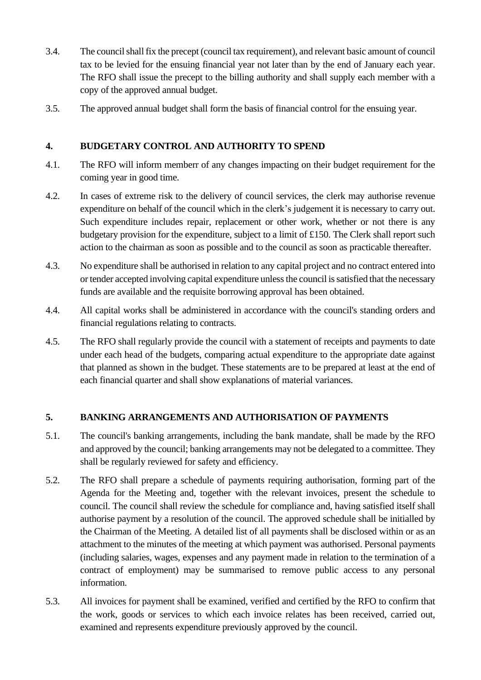- 3.4. The council shall fix the precept (council tax requirement), and relevant basic amount of council tax to be levied for the ensuing financial year not later than by the end of January each year. The RFO shall issue the precept to the billing authority and shall supply each member with a copy of the approved annual budget.
- 3.5. The approved annual budget shall form the basis of financial control for the ensuing year.

#### <span id="page-5-0"></span>**4. BUDGETARY CONTROL AND AUTHORITY TO SPEND**

- 4.1. The RFO will inform memberr of any changes impacting on their budget requirement for the coming year in good time.
- 4.2. In cases of extreme risk to the delivery of council services, the clerk may authorise revenue expenditure on behalf of the council which in the clerk's judgement it is necessary to carry out. Such expenditure includes repair, replacement or other work, whether or not there is any budgetary provision for the expenditure, subject to a limit of £150. The Clerk shall report such action to the chairman as soon as possible and to the council as soon as practicable thereafter.
- 4.3. No expenditure shall be authorised in relation to any capital project and no contract entered into or tender accepted involving capital expenditure unless the council is satisfied that the necessary funds are available and the requisite borrowing approval has been obtained.
- 4.4. All capital works shall be administered in accordance with the council's standing orders and financial regulations relating to contracts.
- 4.5. The RFO shall regularly provide the council with a statement of receipts and payments to date under each head of the budgets, comparing actual expenditure to the appropriate date against that planned as shown in the budget. These statements are to be prepared at least at the end of each financial quarter and shall show explanations of material variances.

#### <span id="page-5-1"></span>**5. BANKING ARRANGEMENTS AND AUTHORISATION OF PAYMENTS**

- 5.1. The council's banking arrangements, including the bank mandate, shall be made by the RFO and approved by the council; banking arrangements may not be delegated to a committee. They shall be regularly reviewed for safety and efficiency.
- 5.2. The RFO shall prepare a schedule of payments requiring authorisation, forming part of the Agenda for the Meeting and, together with the relevant invoices, present the schedule to council. The council shall review the schedule for compliance and, having satisfied itself shall authorise payment by a resolution of the council. The approved schedule shall be initialled by the Chairman of the Meeting. A detailed list of all payments shall be disclosed within or as an attachment to the minutes of the meeting at which payment was authorised. Personal payments (including salaries, wages, expenses and any payment made in relation to the termination of a contract of employment) may be summarised to remove public access to any personal information.
- 5.3. All invoices for payment shall be examined, verified and certified by the RFO to confirm that the work, goods or services to which each invoice relates has been received, carried out, examined and represents expenditure previously approved by the council.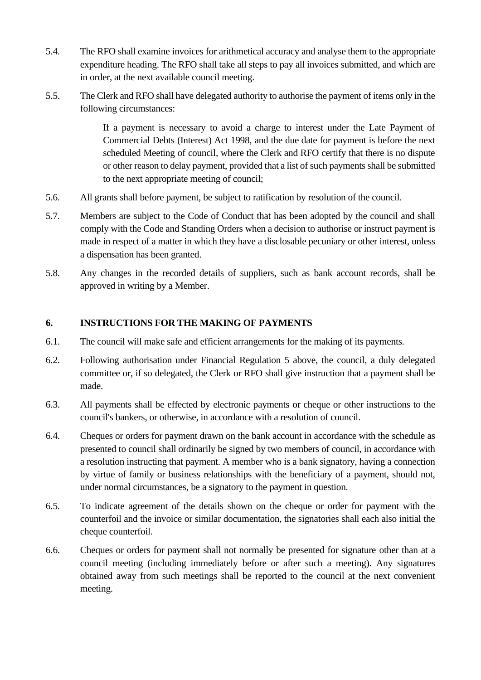- 5.4. The RFO shall examine invoices for arithmetical accuracy and analyse them to the appropriate expenditure heading. The RFO shall take all steps to pay all invoices submitted, and which are in order, at the next available council meeting.
- 5.5. The Clerk and RFO shall have delegated authority to authorise the payment of items only in the following circumstances:

If a payment is necessary to avoid a charge to interest under the Late Payment of Commercial Debts (Interest) Act 1998, and the due date for payment is before the next scheduled Meeting of council, where the Clerk and RFO certify that there is no dispute or other reason to delay payment, provided that a list of such payments shall be submitted to the next appropriate meeting of council;

- 5.6. All grants shall before payment, be subject to ratification by resolution of the council.
- 5.7. Members are subject to the Code of Conduct that has been adopted by the council and shall comply with the Code and Standing Orders when a decision to authorise or instruct payment is made in respect of a matter in which they have a disclosable pecuniary or other interest, unless a dispensation has been granted.
- 5.8. Any changes in the recorded details of suppliers, such as bank account records, shall be approved in writing by a Member.

# <span id="page-6-0"></span>**6. INSTRUCTIONS FOR THE MAKING OF PAYMENTS**

- 6.1. The council will make safe and efficient arrangements for the making of its payments.
- 6.2. Following authorisation under Financial Regulation 5 above, the council, a duly delegated committee or, if so delegated, the Clerk or RFO shall give instruction that a payment shall be made.
- 6.3. All payments shall be effected by electronic payments or cheque or other instructions to the council's bankers, or otherwise, in accordance with a resolution of council.
- 6.4. Cheques or orders for payment drawn on the bank account in accordance with the schedule as presented to council shall ordinarily be signed by two members of council, in accordance with a resolution instructing that payment. A member who is a bank signatory, having a connection by virtue of family or business relationships with the beneficiary of a payment, should not, under normal circumstances, be a signatory to the payment in question.
- 6.5. To indicate agreement of the details shown on the cheque or order for payment with the counterfoil and the invoice or similar documentation, the signatories shall each also initial the cheque counterfoil.
- 6.6. Cheques or orders for payment shall not normally be presented for signature other than at a council meeting (including immediately before or after such a meeting). Any signatures obtained away from such meetings shall be reported to the council at the next convenient meeting.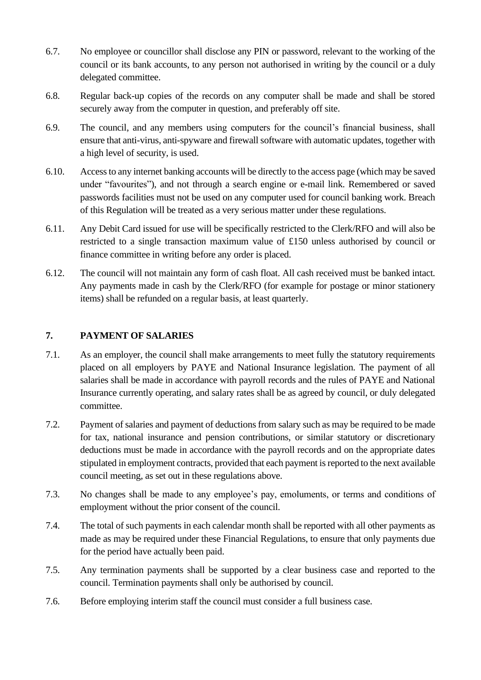- 6.7. No employee or councillor shall disclose any PIN or password, relevant to the working of the council or its bank accounts, to any person not authorised in writing by the council or a duly delegated committee.
- 6.8. Regular back-up copies of the records on any computer shall be made and shall be stored securely away from the computer in question, and preferably off site.
- 6.9. The council, and any members using computers for the council's financial business, shall ensure that anti-virus, anti-spyware and firewall software with automatic updates, together with a high level of security, is used.
- 6.10. Access to any internet banking accounts will be directly to the access page (which may be saved under "favourites"), and not through a search engine or e-mail link. Remembered or saved passwords facilities must not be used on any computer used for council banking work. Breach of this Regulation will be treated as a very serious matter under these regulations.
- 6.11. Any Debit Card issued for use will be specifically restricted to the Clerk/RFO and will also be restricted to a single transaction maximum value of £150 unless authorised by council or finance committee in writing before any order is placed.
- 6.12. The council will not maintain any form of cash float. All cash received must be banked intact. Any payments made in cash by the Clerk/RFO (for example for postage or minor stationery items) shall be refunded on a regular basis, at least quarterly.

## <span id="page-7-0"></span>**7. PAYMENT OF SALARIES**

- 7.1. As an employer, the council shall make arrangements to meet fully the statutory requirements placed on all employers by PAYE and National Insurance legislation. The payment of all salaries shall be made in accordance with payroll records and the rules of PAYE and National Insurance currently operating, and salary rates shall be as agreed by council, or duly delegated committee.
- 7.2. Payment of salaries and payment of deductions from salary such as may be required to be made for tax, national insurance and pension contributions, or similar statutory or discretionary deductions must be made in accordance with the payroll records and on the appropriate dates stipulated in employment contracts, provided that each payment is reported to the next available council meeting, as set out in these regulations above.
- 7.3. No changes shall be made to any employee's pay, emoluments, or terms and conditions of employment without the prior consent of the council.
- 7.4. The total of such payments in each calendar month shall be reported with all other payments as made as may be required under these Financial Regulations, to ensure that only payments due for the period have actually been paid.
- 7.5. Any termination payments shall be supported by a clear business case and reported to the council. Termination payments shall only be authorised by council.
- 7.6. Before employing interim staff the council must consider a full business case.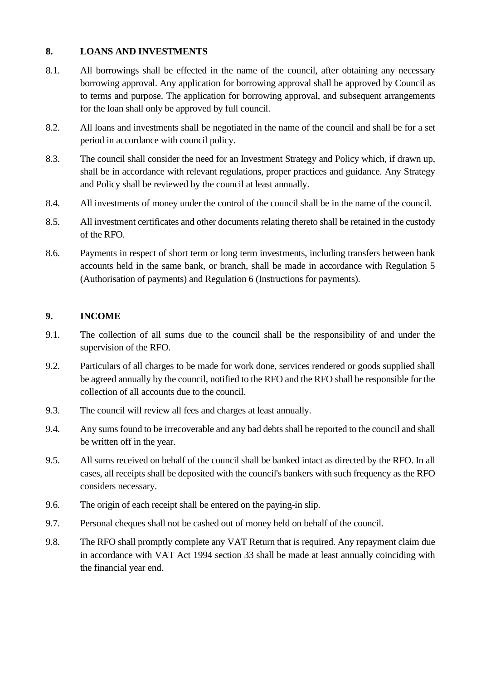#### <span id="page-8-0"></span>**8. LOANS AND INVESTMENTS**

- 8.1. All borrowings shall be effected in the name of the council, after obtaining any necessary borrowing approval. Any application for borrowing approval shall be approved by Council as to terms and purpose. The application for borrowing approval, and subsequent arrangements for the loan shall only be approved by full council.
- 8.2. All loans and investments shall be negotiated in the name of the council and shall be for a set period in accordance with council policy.
- 8.3. The council shall consider the need for an Investment Strategy and Policy which, if drawn up, shall be in accordance with relevant regulations, proper practices and guidance. Any Strategy and Policy shall be reviewed by the council at least annually.
- 8.4. All investments of money under the control of the council shall be in the name of the council.
- 8.5. All investment certificates and other documents relating thereto shall be retained in the custody of the RFO.
- 8.6. Payments in respect of short term or long term investments, including transfers between bank accounts held in the same bank, or branch, shall be made in accordance with Regulation 5 (Authorisation of payments) and Regulation 6 (Instructions for payments).

#### <span id="page-8-1"></span>**9. INCOME**

- 9.1. The collection of all sums due to the council shall be the responsibility of and under the supervision of the RFO.
- 9.2. Particulars of all charges to be made for work done, services rendered or goods supplied shall be agreed annually by the council, notified to the RFO and the RFO shall be responsible for the collection of all accounts due to the council.
- 9.3. The council will review all fees and charges at least annually.
- 9.4. Any sums found to be irrecoverable and any bad debts shall be reported to the council and shall be written off in the year.
- 9.5. All sums received on behalf of the council shall be banked intact as directed by the RFO. In all cases, all receipts shall be deposited with the council's bankers with such frequency as the RFO considers necessary.
- 9.6. The origin of each receipt shall be entered on the paying-in slip.
- 9.7. Personal cheques shall not be cashed out of money held on behalf of the council.
- 9.8. The RFO shall promptly complete any VAT Return that is required. Any repayment claim due in accordance with VAT Act 1994 section 33 shall be made at least annually coinciding with the financial year end.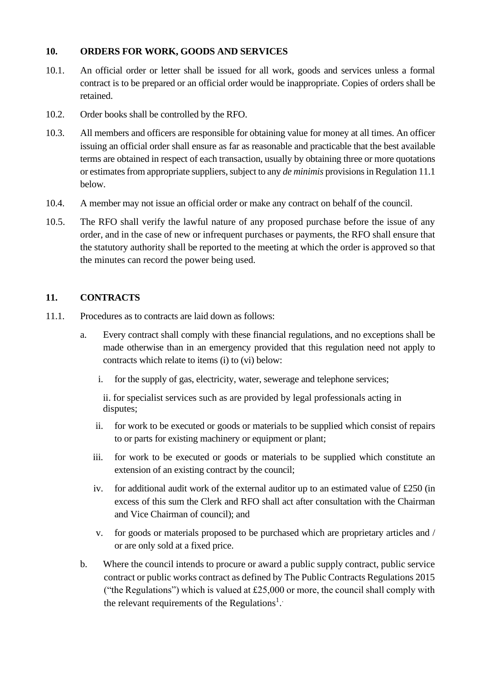#### <span id="page-9-0"></span>**10. ORDERS FOR WORK, GOODS AND SERVICES**

- 10.1. An official order or letter shall be issued for all work, goods and services unless a formal contract is to be prepared or an official order would be inappropriate. Copies of orders shall be retained.
- 10.2. Order books shall be controlled by the RFO.
- 10.3. All members and officers are responsible for obtaining value for money at all times. An officer issuing an official order shall ensure as far as reasonable and practicable that the best available terms are obtained in respect of each transaction, usually by obtaining three or more quotations or estimates from appropriate suppliers, subject to any *de minimis* provisions in Regulation 11.1 below.
- 10.4. A member may not issue an official order or make any contract on behalf of the council.
- 10.5. The RFO shall verify the lawful nature of any proposed purchase before the issue of any order, and in the case of new or infrequent purchases or payments, the RFO shall ensure that the statutory authority shall be reported to the meeting at which the order is approved so that the minutes can record the power being used.

#### <span id="page-9-1"></span>**11. CONTRACTS**

- 11.1. Procedures as to contracts are laid down as follows:
	- a. Every contract shall comply with these financial regulations, and no exceptions shall be made otherwise than in an emergency provided that this regulation need not apply to contracts which relate to items (i) to (vi) below:
		- i. for the supply of gas, electricity, water, sewerage and telephone services;

ii. for specialist services such as are provided by legal professionals acting in disputes;

- ii. for work to be executed or goods or materials to be supplied which consist of repairs to or parts for existing machinery or equipment or plant;
- iii. for work to be executed or goods or materials to be supplied which constitute an extension of an existing contract by the council;
- iv. for additional audit work of the external auditor up to an estimated value of £250 (in excess of this sum the Clerk and RFO shall act after consultation with the Chairman and Vice Chairman of council); and
- v. for goods or materials proposed to be purchased which are proprietary articles and / or are only sold at a fixed price.
- b. Where the council intends to procure or award a public supply contract, public service contract or public works contract as defined by The Public Contracts Regulations 2015 ("the Regulations") which is valued at £25,000 or more, the council shall comply with the relevant requirements of the Regulations<sup>1</sup>.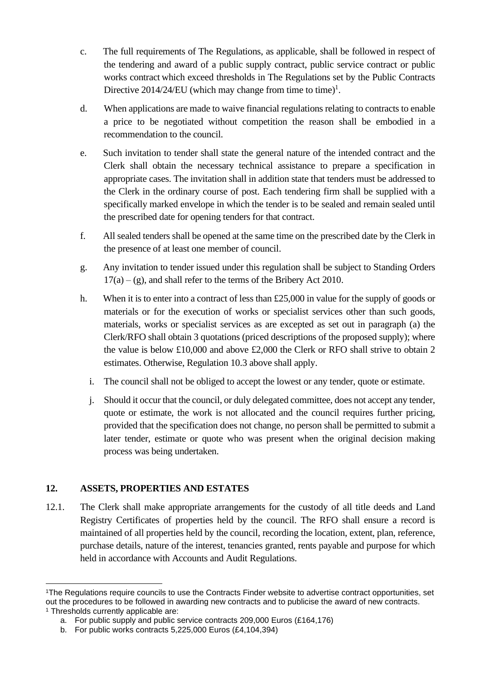- c. The full requirements of The Regulations, as applicable, shall be followed in respect of the tendering and award of a public supply contract, public service contract or public works contract which exceed thresholds in The Regulations set by the Public Contracts Directive  $2014/24/EU$  (which may change from time to time)<sup>1</sup>.
- d. When applications are made to waive financial regulations relating to contracts to enable a price to be negotiated without competition the reason shall be embodied in a recommendation to the council.
- e. Such invitation to tender shall state the general nature of the intended contract and the Clerk shall obtain the necessary technical assistance to prepare a specification in appropriate cases. The invitation shall in addition state that tenders must be addressed to the Clerk in the ordinary course of post. Each tendering firm shall be supplied with a specifically marked envelope in which the tender is to be sealed and remain sealed until the prescribed date for opening tenders for that contract.
- f. All sealed tenders shall be opened at the same time on the prescribed date by the Clerk in the presence of at least one member of council.
- g. Any invitation to tender issued under this regulation shall be subject to Standing Orders  $17(a) - (g)$ , and shall refer to the terms of the Bribery Act 2010.
- h. When it is to enter into a contract of less than  $£25,000$  in value for the supply of goods or materials or for the execution of works or specialist services other than such goods, materials, works or specialist services as are excepted as set out in paragraph (a) the Clerk/RFO shall obtain 3 quotations (priced descriptions of the proposed supply); where the value is below £10,000 and above £2,000 the Clerk or RFO shall strive to obtain 2 estimates. Otherwise, Regulation 10.3 above shall apply.
	- i. The council shall not be obliged to accept the lowest or any tender, quote or estimate.
	- j. Should it occur that the council, or duly delegated committee, does not accept any tender, quote or estimate, the work is not allocated and the council requires further pricing, provided that the specification does not change, no person shall be permitted to submit a later tender, estimate or quote who was present when the original decision making process was being undertaken.

### <span id="page-10-0"></span>**12. ASSETS, PROPERTIES AND ESTATES**

12.1. The Clerk shall make appropriate arrangements for the custody of all title deeds and Land Registry Certificates of properties held by the council. The RFO shall ensure a record is maintained of all properties held by the council, recording the location, extent, plan, reference, purchase details, nature of the interest, tenancies granted, rents payable and purpose for which held in accordance with Accounts and Audit Regulations.

<sup>1</sup>The Regulations require councils to use the Contracts Finder website to advertise contract opportunities, set out the procedures to be followed in awarding new contracts and to publicise the award of new contracts. <sup>1</sup> Thresholds currently applicable are:

a. For public supply and public service contracts 209,000 Euros (£164,176)

b. For public works contracts 5,225,000 Euros (£4,104,394)